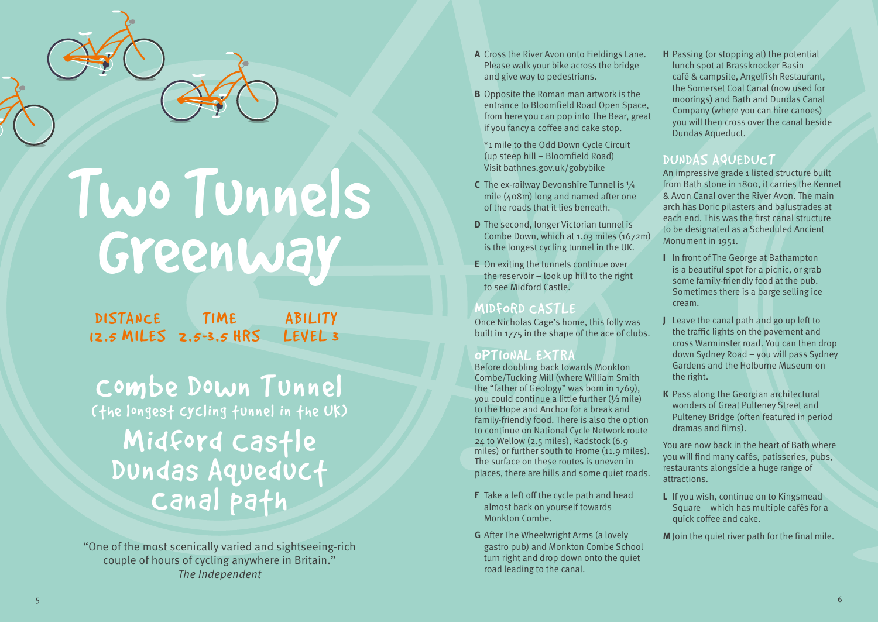

# Two Tunnels Greenway

DISTANCE TIME 12.5 MILES 2.5-3.5 HRS ABILITY LEVEL 3

Combe Down Tunnel (the longest cycling tunnel in the UK) Midford Castle Dundas Aqueduct

"One of the most scenically varied and sightseeing-rich couple of hours of cycling anywhere in Britain." The Independent

- **A** Cross the River Avon onto Fieldings Lane. Please walk your bike across the bridge and give way to pedestrians.
- **B** Opposite the Roman man artwork is the entrance to Bloomfield Road Open Space, from here you can pop into The Bear, great if you fancy a coffee and cake stop.
- \*1 mile to the Odd Down Cycle Circuit (up steep hill – Bloomfield Road) Visit bathnes.gov.uk/gobybike
- **C** The ex-railway Devonshire Tunnel is  $\frac{1}{4}$ mile (408m) long and named after one of the roads that it lies beneath.
- **D** The second, longer Victorian tunnel is Combe Down, which at 1.03 miles (1672m) is the longest cycling tunnel in the UK.
- **E** On exiting the tunnels continue over the reservoir – look up hill to the right to see Midford Castle.

#### MIDFORD CASTLE

Once Nicholas Cage's home, this folly was built in 1775 in the shape of the ace of clubs.

#### OPTIONAL EXTRA

Before doubling back towards Monkton Combe/Tucking Mill (where William Smith the "father of Geology" was born in 1769), you could continue a little further (½ mile) to the Hope and Anchor for a break and family-friendly food. There is also the option to continue on National Cycle Network route 24 to Wellow (2.5 miles), Radstock (6.9 miles) or further south to Frome (11.9 miles). The surface on these routes is uneven in places, there are hills and some quiet roads.

- **F** Take a left off the cycle path and head almost back on yourself towards Monkton Combe.
- **G** After The Wheelwright Arms (a lovely gastro pub) and Monkton Combe School turn right and drop down onto the quiet road leading to the canal.

**H** Passing (or stopping at) the potential lunch spot at Brassknocker Basin café & campsite, Angelfish Restaurant, the Somerset Coal Canal (now used for moorings) and Bath and Dundas Canal Company (where you can hire canoes) you will then cross over the canal beside Dundas Aqueduct.

### DUNDAS AQUEDUCT

An impressive grade 1 listed structure built from Bath stone in 1800, it carries the Kennet & Avon Canal over the River Avon. The main arch has Doric pilasters and balustrades at each end. This was the first canal structure to be designated as a Scheduled Ancient Monument in 1951.

- **I** In front of The George at Bathampton is a beautiful spot for a picnic, or grab some family-friendly food at the pub. Sometimes there is a barge selling ice cream.
- **J** Leave the canal path and go up left to the traffic lights on the pavement and cross Warminster road. You can then drop down Sydney Road – you will pass Sydney Gardens and the Holburne Museum on the right.
- **K** Pass along the Georgian architectural wonders of Great Pulteney Street and Pulteney Bridge (often featured in period dramas and films).

You are now back in the heart of Bath where you will find many cafés, patisseries, pubs, restaurants alongside a huge range of attractions.

**L** If you wish, continue on to Kingsmead Square – which has multiple cafés for a quick coffee and cake.

**M** Join the quiet river path for the final mile.